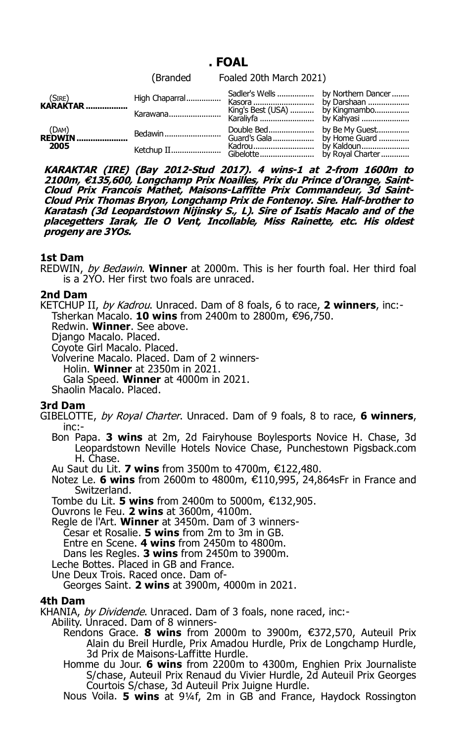# **. FOAL**

|                          |          | (Branded Foaled 20th March 2021)                         |  |
|--------------------------|----------|----------------------------------------------------------|--|
| $(SIRE)$<br>KARAKTAR     |          |                                                          |  |
|                          | Karawana | King's Best (USA)  by Kingmambo<br>Karaliyfa  by Kahyasi |  |
| $(DAM)$<br><b>REDWIN</b> |          |                                                          |  |
| 2005                     |          |                                                          |  |

KARAKTAR (IRE) (Bay 2012-Stud 2017). 4 wins-1 at 2-from 1600m to<br>2100m, €135,600, Longchamp Prix Noailles, Prix du Prince d'Orange, Saint-**Cloud Prix Francois Mathet, Maisons-Laffitte Prix Commandeur, 3d Saint-Cloud Prix Thomas Bryon, Longchamp Prix de Fontenoy. Sire. Half-brother to Karatash (3d Leopardstown Nijinsky S., L). Sire of Isatis Macalo and of the placegetters Iarak, Ile O Vent, Incollable, Miss Rainette, etc. His oldest progeny are 3YOs.**

## **1st Dam**

REDWIN, by Bedawin. **Winner** at 2000m. This is her fourth foal. Her third foal is a 2YO. Her first two foals are unraced.

## **2nd Dam**

KETCHUP II, by Kadrou. Unraced. Dam of 8 foals, 6 to race, **2 winners**, inc:- Tsherkan Macalo. **10 wins** from 2400m to 2800m, €96,750.

Redwin. **Winner**. See above.

Django Macalo. Placed.

Coyote Girl Macalo. Placed.

Volverine Macalo. Placed. Dam of 2 winners-

Holin. **Winner** at 2350m in 2021.

Gala Speed. **Winner** at 4000m in 2021.

Shaolin Macalo. Placed.

# **3rd Dam**

GIBELOTTE, by Royal Charter. Unraced. Dam of 9 foals, 8 to race, **6 winners**, inc:-

Bon Papa. **3 wins** at 2m, 2d Fairyhouse Boylesports Novice H. Chase, 3d Leopardstown Neville Hotels Novice Chase, Punchestown Pigsback.com H. Chase.

Au Saut du Lit. 7 wins from 3500m to 4700m, €122,480.

Notez Le. 6 wins from 2600m to 4800m, €110,995, 24,864sFr in France and Switzerland.

Tombe du Lit. **5 wins** from 2400m to 5000m, €132,905.

Ouvrons le Feu. **2 wins** at 3600m, 4100m.

Regle de l'Art. **Winner** at 3450m. Dam of 3 winners-

Cesar et Rosalie. **5 wins** from 2m to 3m in GB.

Entre en Scene. **4 wins** from 2450m to 4800m.

Dans les Regles. **3 wins** from 2450m to 3900m.

Leche Bottes. Placed in GB and France.

Une Deux Trois. Raced once. Dam of-

Georges Saint. **2 wins** at 3900m, 4000m in 2021.

## **4th Dam**

KHANIA, by Dividende. Unraced. Dam of 3 foals, none raced, inc:-

Ability. Unraced. Dam of 8 winners-

- Rendons Grace. 8 wins from 2000m to 3900m, €372,570, Auteuil Prix Alain du Breil Hurdle, Prix Amadou Hurdle, Prix de Longchamp Hurdle, 3d Prix de Maisons-Laffitte Hurdle.
- Homme du Jour. **6 wins** from 2200m to 4300m, Enghien Prix Journaliste S/chase, Auteuil Prix Renaud du Vivier Hurdle, 2d Auteuil Prix Georges Courtois S/chase, 3d Auteuil Prix Juigne Hurdle.

Nous Voila. **5 wins** at 91/4f, 2m in GB and France, Haydock Rossington